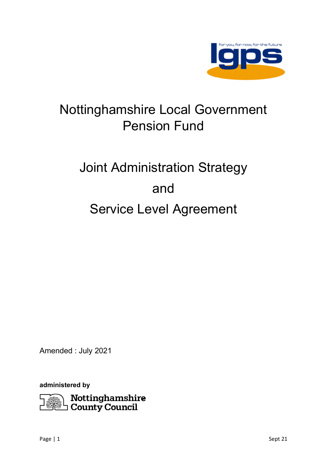

# Nottinghamshire Local Government Pension Fund

# Joint Administration Strategy and Service Level Agreement

Amended : July 2021

**administered by**

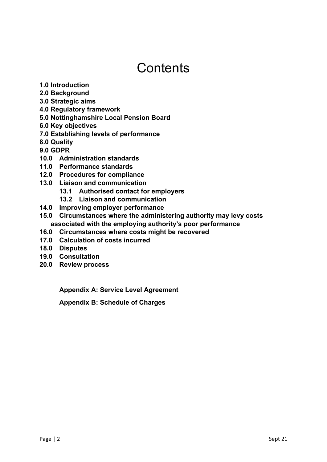## **Contents**

- **1.0 Introduction**
- **2.0 Background**
- **3.0 Strategic aims**
- **4.0 Regulatory framework**
- **5.0 Nottinghamshire Local Pension Board**
- **6.0 Key objectives**
- **7.0 Establishing levels of performance**
- **8.0 Quality**
- **9.0 GDPR**
- **10.0 Administration standards**
- **11.0 Performance standards**
- **12.0 Procedures for compliance**
- **13.0 Liaison and communication**
	- **13.1 Authorised contact for employers**
		- **13.2 Liaison and communication**
- **14.0 Improving employer performance**
- **15.0 Circumstances where the administering authority may levy costs associated with the employing authority's poor performance**
- **16.0 Circumstances where costs might be recovered**
- **17.0 Calculation of costs incurred**
- **18.0 Disputes**
- **19.0 Consultation**
- **20.0 Review process**

**Appendix A: Service Level Agreement**

**Appendix B: Schedule of Charges**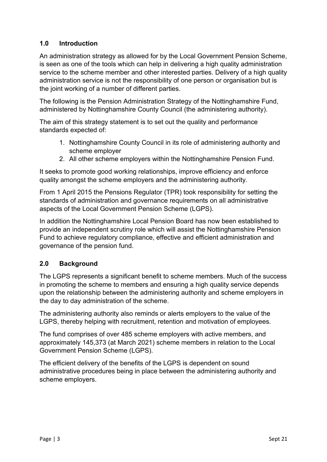#### **1.0 Introduction**

An administration strategy as allowed for by the Local Government Pension Scheme, is seen as one of the tools which can help in delivering a high quality administration service to the scheme member and other interested parties. Delivery of a high quality administration service is not the responsibility of one person or organisation but is the joint working of a number of different parties.

The following is the Pension Administration Strategy of the Nottinghamshire Fund, administered by Nottinghamshire County Council (the administering authority).

The aim of this strategy statement is to set out the quality and performance standards expected of:

- 1. Nottinghamshire County Council in its role of administering authority and scheme employer
- 2. All other scheme employers within the Nottinghamshire Pension Fund.

It seeks to promote good working relationships, improve efficiency and enforce quality amongst the scheme employers and the administering authority.

From 1 April 2015 the Pensions Regulator (TPR) took responsibility for setting the standards of administration and governance requirements on all administrative aspects of the Local Government Pension Scheme (LGPS).

In addition the Nottinghamshire Local Pension Board has now been established to provide an independent scrutiny role which will assist the Nottinghamshire Pension Fund to achieve regulatory compliance, effective and efficient administration and governance of the pension fund.

#### **2.0 Background**

The LGPS represents a significant benefit to scheme members. Much of the success in promoting the scheme to members and ensuring a high quality service depends upon the relationship between the administering authority and scheme employers in the day to day administration of the scheme.

The administering authority also reminds or alerts employers to the value of the LGPS, thereby helping with recruitment, retention and motivation of employees.

The fund comprises of over 485 scheme employers with active members, and approximately 145,373 (at March 2021) scheme members in relation to the Local Government Pension Scheme (LGPS).

The efficient delivery of the benefits of the LGPS is dependent on sound administrative procedures being in place between the administering authority and scheme employers.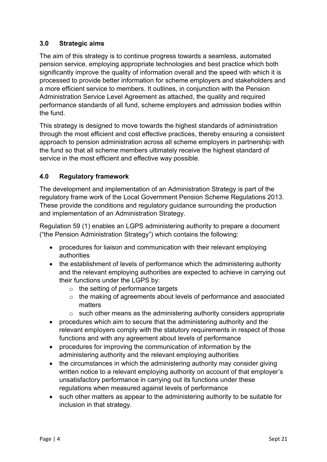#### **3.0 Strategic aims**

The aim of this strategy is to continue progress towards a seamless, automated pension service, employing appropriate technologies and best practice which both significantly improve the quality of information overall and the speed with which it is processed to provide better information for scheme employers and stakeholders and a more efficient service to members. It outlines, in conjunction with the Pension Administration Service Level Agreement as attached, the quality and required performance standards of all fund, scheme employers and admission bodies within the fund.

This strategy is designed to move towards the highest standards of administration through the most efficient and cost effective practices, thereby ensuring a consistent approach to pension administration across all scheme employers in partnership with the fund so that all scheme members ultimately receive the highest standard of service in the most efficient and effective way possible.

#### **4.0 Regulatory framework**

The development and implementation of an Administration Strategy is part of the regulatory frame work of the Local Government Pension Scheme Regulations 2013. These provide the conditions and regulatory guidance surrounding the production and implementation of an Administration Strategy.

Regulation 59 (1) enables an LGPS administering authority to prepare a document ("the Pension Administration Strategy") which contains the following:

- procedures for liaison and communication with their relevant employing authorities
- the establishment of levels of performance which the administering authority and the relevant employing authorities are expected to achieve in carrying out their functions under the LGPS by:
	- o the setting of performance targets
	- o the making of agreements about levels of performance and associated matters
	- $\circ$  such other means as the administering authority considers appropriate
- procedures which aim to secure that the administering authority and the relevant employers comply with the statutory requirements in respect of those functions and with any agreement about levels of performance
- procedures for improving the communication of information by the administering authority and the relevant employing authorities
- the circumstances in which the administering authority may consider giving written notice to a relevant employing authority on account of that employer's unsatisfactory performance in carrying out its functions under these regulations when measured against levels of performance
- such other matters as appear to the administering authority to be suitable for inclusion in that strategy.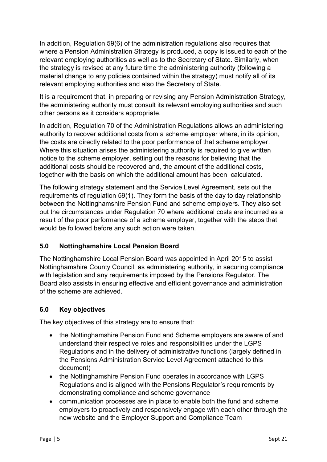In addition, Regulation 59(6) of the administration regulations also requires that where a Pension Administration Strategy is produced, a copy is issued to each of the relevant employing authorities as well as to the Secretary of State. Similarly, when the strategy is revised at any future time the administering authority (following a material change to any policies contained within the strategy) must notify all of its relevant employing authorities and also the Secretary of State.

It is a requirement that, in preparing or revising any Pension Administration Strategy, the administering authority must consult its relevant employing authorities and such other persons as it considers appropriate.

In addition, Regulation 70 of the Administration Regulations allows an administering authority to recover additional costs from a scheme employer where, in its opinion, the costs are directly related to the poor performance of that scheme employer. Where this situation arises the administering authority is required to give written notice to the scheme employer, setting out the reasons for believing that the additional costs should be recovered and, the amount of the additional costs, together with the basis on which the additional amount has been calculated.

The following strategy statement and the Service Level Agreement, sets out the requirements of regulation 59(1). They form the basis of the day to day relationship between the Nottinghamshire Pension Fund and scheme employers. They also set out the circumstances under Regulation 70 where additional costs are incurred as a result of the poor performance of a scheme employer, together with the steps that would be followed before any such action were taken.

#### **5.0 Nottinghamshire Local Pension Board**

The Nottinghamshire Local Pension Board was appointed in April 2015 to assist Nottinghamshire County Council, as administering authority, in securing compliance with legislation and any requirements imposed by the Pensions Regulator. The Board also assists in ensuring effective and efficient governance and administration of the scheme are achieved.

#### **6.0 Key objectives**

The key objectives of this strategy are to ensure that:

- the Nottinghamshire Pension Fund and Scheme employers are aware of and understand their respective roles and responsibilities under the LGPS Regulations and in the delivery of administrative functions (largely defined in the Pensions Administration Service Level Agreement attached to this document)
- the Nottinghamshire Pension Fund operates in accordance with LGPS Regulations and is aligned with the Pensions Regulator's requirements by demonstrating compliance and scheme governance
- communication processes are in place to enable both the fund and scheme employers to proactively and responsively engage with each other through the new website and the Employer Support and Compliance Team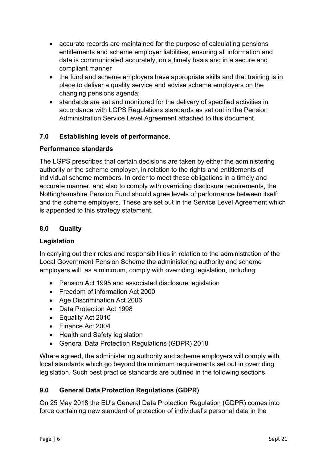- accurate records are maintained for the purpose of calculating pensions entitlements and scheme employer liabilities, ensuring all information and data is communicated accurately, on a timely basis and in a secure and compliant manner
- the fund and scheme employers have appropriate skills and that training is in place to deliver a quality service and advise scheme employers on the changing pensions agenda;
- standards are set and monitored for the delivery of specified activities in accordance with LGPS Regulations standards as set out in the Pension Administration Service Level Agreement attached to this document.

#### **7.0 Establishing levels of performance.**

#### **Performance standards**

The LGPS prescribes that certain decisions are taken by either the administering authority or the scheme employer, in relation to the rights and entitlements of individual scheme members. In order to meet these obligations in a timely and accurate manner, and also to comply with overriding disclosure requirements, the Nottinghamshire Pension Fund should agree levels of performance between itself and the scheme employers. These are set out in the Service Level Agreement which is appended to this strategy statement.

#### **8.0 Quality**

#### **Legislation**

In carrying out their roles and responsibilities in relation to the administration of the Local Government Pension Scheme the administering authority and scheme employers will, as a minimum, comply with overriding legislation, including:

- Pension Act 1995 and associated disclosure legislation
- Freedom of information Act 2000
- Age Discrimination Act 2006
- Data Protection Act 1998
- Equality Act 2010
- Finance Act 2004
- Health and Safety legislation
- General Data Protection Regulations (GDPR) 2018

Where agreed, the administering authority and scheme employers will comply with local standards which go beyond the minimum requirements set out in overriding legislation. Such best practice standards are outlined in the following sections.

#### **9.0 General Data Protection Regulations (GDPR)**

On 25 May 2018 the EU's General Data Protection Regulation (GDPR) comes into force containing new standard of protection of individual's personal data in the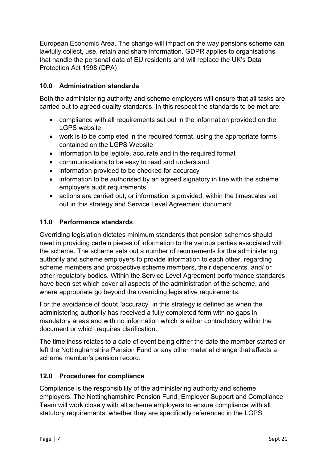European Economic Area. The change will impact on the way pensions scheme can lawfully collect, use, retain and share information. GDPR applies to organisations that handle the personal data of EU residents and will replace the UK's Data Protection Act 1998 (DPA)

#### **10.0 Administration standards**

Both the administering authority and scheme employers will ensure that all tasks are carried out to agreed quality standards. In this respect the standards to be met are:

- compliance with all requirements set out in the information provided on the LGPS website
- work is to be completed in the required format, using the appropriate forms contained on the LGPS Website
- information to be legible, accurate and in the required format
- communications to be easy to read and understand
- information provided to be checked for accuracy
- information to be authorised by an agreed signatory in line with the scheme employers audit requirements
- actions are carried out, or information is provided, within the timescales set out in this strategy and Service Level Agreement document.

#### **11.0 Performance standards**

Overriding legislation dictates minimum standards that pension schemes should meet in providing certain pieces of information to the various parties associated with the scheme. The scheme sets out a number of requirements for the administering authority and scheme employers to provide information to each other, regarding scheme members and prospective scheme members, their dependents, and/ or other regulatory bodies. Within the Service Level Agreement performance standards have been set which cover all aspects of the administration of the scheme, and where appropriate go beyond the overriding legislative requirements.

For the avoidance of doubt "accuracy" in this strategy is defined as when the administering authority has received a fully completed form with no gaps in mandatory areas and with no information which is either contradictory within the document or which requires clarification.

The timeliness relates to a date of event being either the date the member started or left the Nottinghamshire Pension Fund or any other material change that affects a scheme member's pension record.

#### **12.0 Procedures for compliance**

Compliance is the responsibility of the administering authority and scheme employers. The Nottinghamshire Pension Fund, Employer Support and Compliance Team will work closely with all scheme employers to ensure compliance with all statutory requirements, whether they are specifically referenced in the LGPS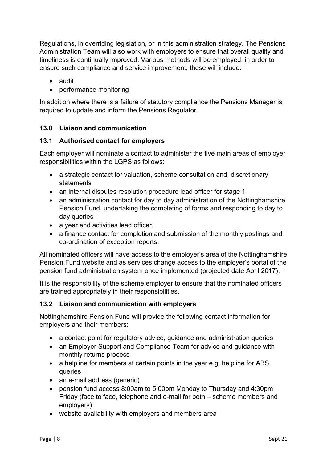Regulations, in overriding legislation, or in this administration strategy. The Pensions Administration Team will also work with employers to ensure that overall quality and timeliness is continually improved. Various methods will be employed, in order to ensure such compliance and service improvement, these will include:

- audit
- performance monitoring

In addition where there is a failure of statutory compliance the Pensions Manager is required to update and inform the Pensions Regulator.

#### **13.0 Liaison and communication**

#### **13.1 Authorised contact for employers**

Each employer will nominate a contact to administer the five main areas of employer responsibilities within the LGPS as follows:

- a strategic contact for valuation, scheme consultation and, discretionary statements
- an internal disputes resolution procedure lead officer for stage 1
- an administration contact for day to day administration of the Nottinghamshire Pension Fund, undertaking the completing of forms and responding to day to day queries
- a year end activities lead officer.
- a finance contact for completion and submission of the monthly postings and co-ordination of exception reports.

All nominated officers will have access to the employer's area of the Nottinghamshire Pension Fund website and as services change access to the employer's portal of the pension fund administration system once implemented (projected date April 2017).

It is the responsibility of the scheme employer to ensure that the nominated officers are trained appropriately in their responsibilities.

#### **13.2 Liaison and communication with employers**

Nottinghamshire Pension Fund will provide the following contact information for employers and their members:

- a contact point for regulatory advice, guidance and administration queries
- an Employer Support and Compliance Team for advice and guidance with monthly returns process
- a helpline for members at certain points in the year e.g. helpline for ABS queries
- an e-mail address (generic)
- pension fund access 8:00am to 5:00pm Monday to Thursday and 4:30pm Friday (face to face, telephone and e-mail for both – scheme members and employers)
- website availability with employers and members area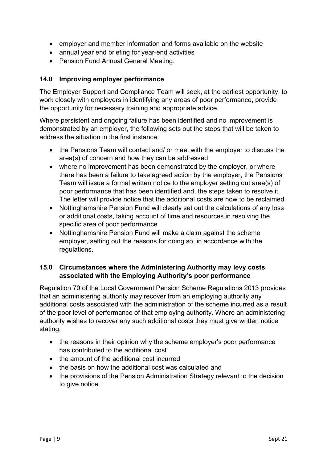- employer and member information and forms available on the website
- annual year end briefing for year-end activities
- Pension Fund Annual General Meeting.

#### **14.0 Improving employer performance**

The Employer Support and Compliance Team will seek, at the earliest opportunity, to work closely with employers in identifying any areas of poor performance, provide the opportunity for necessary training and appropriate advice.

Where persistent and ongoing failure has been identified and no improvement is demonstrated by an employer, the following sets out the steps that will be taken to address the situation in the first instance:

- the Pensions Team will contact and/ or meet with the employer to discuss the area(s) of concern and how they can be addressed
- where no improvement has been demonstrated by the employer, or where there has been a failure to take agreed action by the employer, the Pensions Team will issue a formal written notice to the employer setting out area(s) of poor performance that has been identified and, the steps taken to resolve it. The letter will provide notice that the additional costs are now to be reclaimed.
- Nottinghamshire Pension Fund will clearly set out the calculations of any loss or additional costs, taking account of time and resources in resolving the specific area of poor performance
- Nottinghamshire Pension Fund will make a claim against the scheme employer, setting out the reasons for doing so, in accordance with the regulations.

#### **15.0 Circumstances where the Administering Authority may levy costs associated with the Employing Authority's poor performance**

Regulation 70 of the Local Government Pension Scheme Regulations 2013 provides that an administering authority may recover from an employing authority any additional costs associated with the administration of the scheme incurred as a result of the poor level of performance of that employing authority. Where an administering authority wishes to recover any such additional costs they must give written notice stating:

- the reasons in their opinion why the scheme employer's poor performance has contributed to the additional cost
- the amount of the additional cost incurred
- the basis on how the additional cost was calculated and
- the provisions of the Pension Administration Strategy relevant to the decision to give notice.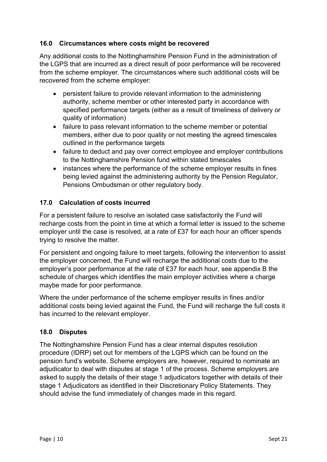#### **16.0 Circumstances where costs might be recovered**

Any additional costs to the Nottinghamshire Pension Fund in the administration of the LGPS that are incurred as a direct result of poor performance will be recovered from the scheme employer. The circumstances where such additional costs will be recovered from the scheme employer:

- persistent failure to provide relevant information to the administering authority, scheme member or other interested party in accordance with specified performance targets (either as a result of timeliness of delivery or quality of information)
- failure to pass relevant information to the scheme member or potential members, either due to poor quality or not meeting the agreed timescales outlined in the performance targets
- failure to deduct and pay over correct employee and employer contributions to the Nottinghamshire Pension fund within stated timescales
- instances where the performance of the scheme employer results in fines being levied against the administering authority by the Pension Regulator, Pensions Ombudsman or other regulatory body.

#### **17.0 Calculation of costs incurred**

For a persistent failure to resolve an isolated case satisfactorily the Fund will recharge costs from the point in time at which a formal letter is issued to the scheme employer until the case is resolved, at a rate of £37 for each hour an officer spends trying to resolve the matter.

For persistent and ongoing failure to meet targets, following the intervention to assist the employer concerned, the Fund will recharge the additional costs due to the employer's poor performance at the rate of £37 for each hour, see appendix B the schedule of charges which identifies the main employer activities where a charge maybe made for poor performance.

Where the under performance of the scheme employer results in fines and/or additional costs being levied against the Fund, the Fund will recharge the full costs it has incurred to the relevant employer.

#### **18.0 Disputes**

The Nottinghamshire Pension Fund has a clear internal disputes resolution procedure (IDRP) set out for members of the LGPS which can be found on the pension fund's website. Scheme employers are, however, required to nominate an adjudicator to deal with disputes at stage 1 of the process. Scheme employers are asked to supply the details of their stage 1 adjudicators together with details of their stage 1 Adjudicators as identified in their Discretionary Policy Statements. They should advise the fund immediately of changes made in this regard.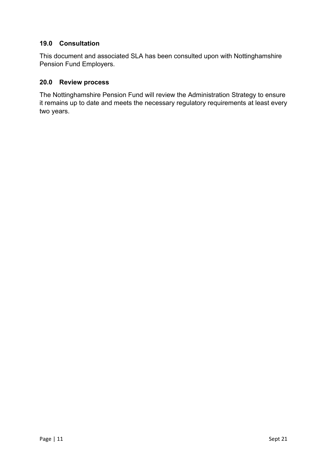#### **19.0 Consultation**

This document and associated SLA has been consulted upon with Nottinghamshire Pension Fund Employers.

#### **20.0 Review process**

The Nottinghamshire Pension Fund will review the Administration Strategy to ensure it remains up to date and meets the necessary regulatory requirements at least every two years.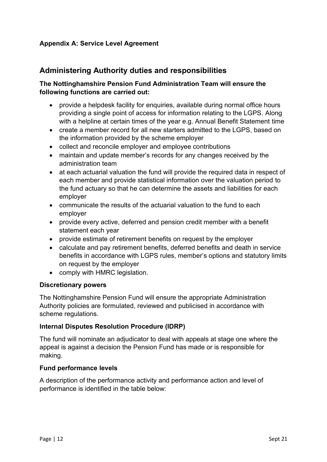#### **Appendix A: Service Level Agreement**

#### **Administering Authority duties and responsibilities**

#### **The Nottinghamshire Pension Fund Administration Team will ensure the following functions are carried out:**

- provide a helpdesk facility for enquiries, available during normal office hours providing a single point of access for information relating to the LGPS. Along with a helpline at certain times of the year e.g. Annual Benefit Statement time
- create a member record for all new starters admitted to the LGPS, based on the information provided by the scheme employer
- collect and reconcile employer and employee contributions
- maintain and update member's records for any changes received by the administration team
- at each actuarial valuation the fund will provide the required data in respect of each member and provide statistical information over the valuation period to the fund actuary so that he can determine the assets and liabilities for each employer
- communicate the results of the actuarial valuation to the fund to each employer
- provide every active, deferred and pension credit member with a benefit statement each year
- provide estimate of retirement benefits on request by the employer
- calculate and pay retirement benefits, deferred benefits and death in service benefits in accordance with LGPS rules, member's options and statutory limits on request by the employer
- comply with HMRC legislation.

#### **Discretionary powers**

The Nottinghamshire Pension Fund will ensure the appropriate Administration Authority policies are formulated, reviewed and publicised in accordance with scheme regulations.

#### **Internal Disputes Resolution Procedure (IDRP)**

The fund will nominate an adjudicator to deal with appeals at stage one where the appeal is against a decision the Pension Fund has made or is responsible for making.

#### **Fund performance levels**

A description of the performance activity and performance action and level of performance is identified in the table below: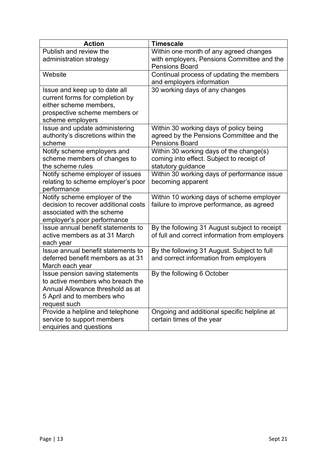| <b>Action</b>                                   | <b>Timescale</b>                                                                      |
|-------------------------------------------------|---------------------------------------------------------------------------------------|
| Publish and review the                          | Within one month of any agreed changes                                                |
| administration strategy                         | with employers, Pensions Committee and the                                            |
|                                                 | <b>Pensions Board</b>                                                                 |
| Website                                         | Continual process of updating the members                                             |
|                                                 | and employers information                                                             |
| Issue and keep up to date all                   | 30 working days of any changes                                                        |
| current forms for completion by                 |                                                                                       |
| either scheme members,                          |                                                                                       |
| prospective scheme members or                   |                                                                                       |
| scheme employers                                |                                                                                       |
| Issue and update administering                  | Within 30 working days of policy being                                                |
| authority's discretions within the              | agreed by the Pensions Committee and the                                              |
| scheme                                          | <b>Pensions Board</b>                                                                 |
| Notify scheme employers and                     | Within 30 working days of the change(s)                                               |
| scheme members of changes to                    | coming into effect. Subject to receipt of                                             |
| the scheme rules                                | statutory guidance                                                                    |
| Notify scheme employer of issues                | Within 30 working days of performance issue                                           |
| relating to scheme employer's poor              | becoming apparent                                                                     |
| performance                                     |                                                                                       |
| Notify scheme employer of the                   | Within 10 working days of scheme employer                                             |
| decision to recover additional costs            | failure to improve performance, as agreed                                             |
| associated with the scheme                      |                                                                                       |
| employer's poor performance                     |                                                                                       |
| Issue annual benefit statements to              | By the following 31 August subject to receipt                                         |
| active members as at 31 March                   | of full and correct information from employers                                        |
| each year<br>Issue annual benefit statements to |                                                                                       |
| deferred benefit members as at 31               | By the following 31 August. Subject to full<br>and correct information from employers |
| March each year                                 |                                                                                       |
| Issue pension saving statements                 | By the following 6 October                                                            |
| to active members who breach the                |                                                                                       |
| Annual Allowance threshold as at                |                                                                                       |
| 5 April and to members who                      |                                                                                       |
| request such                                    |                                                                                       |
| Provide a helpline and telephone                | Ongoing and additional specific helpline at                                           |
| service to support members                      | certain times of the year                                                             |
| enquiries and questions                         |                                                                                       |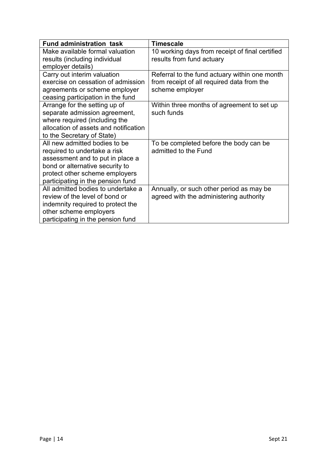| <b>Fund administration task</b>       | <b>Timescale</b>                                |
|---------------------------------------|-------------------------------------------------|
| Make available formal valuation       | 10 working days from receipt of final certified |
| results (including individual         | results from fund actuary                       |
| employer details)                     |                                                 |
| Carry out interim valuation           | Referral to the fund actuary within one month   |
| exercise on cessation of admission    | from receipt of all required data from the      |
| agreements or scheme employer         | scheme employer                                 |
| ceasing participation in the fund     |                                                 |
| Arrange for the setting up of         | Within three months of agreement to set up      |
| separate admission agreement,         | such funds                                      |
| where required (including the         |                                                 |
| allocation of assets and notification |                                                 |
| to the Secretary of State)            |                                                 |
| All new admitted bodies to be         | To be completed before the body can be          |
| required to undertake a risk          | admitted to the Fund                            |
| assessment and to put in place a      |                                                 |
| bond or alternative security to       |                                                 |
| protect other scheme employers        |                                                 |
| participating in the pension fund     |                                                 |
| All admitted bodies to undertake a    | Annually, or such other period as may be        |
| review of the level of bond or        | agreed with the administering authority         |
| indemnity required to protect the     |                                                 |
| other scheme employers                |                                                 |
| participating in the pension fund     |                                                 |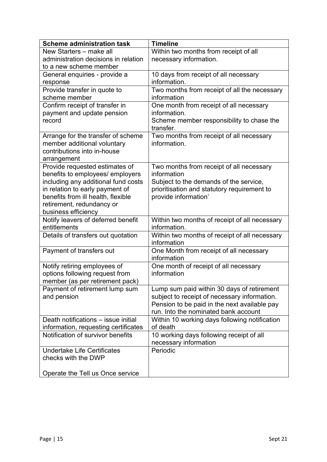| <b>Scheme administration task</b>                                         | <b>Timeline</b>                                           |  |
|---------------------------------------------------------------------------|-----------------------------------------------------------|--|
| New Starters - make all                                                   | Within two months from receipt of all                     |  |
| administration decisions in relation                                      | necessary information.                                    |  |
| to a new scheme member                                                    |                                                           |  |
| General enquiries - provide a                                             | 10 days from receipt of all necessary                     |  |
| response                                                                  | information.                                              |  |
| Provide transfer in quote to                                              | Two months from receipt of all the necessary              |  |
| scheme member                                                             | information                                               |  |
| Confirm receipt of transfer in                                            | One month from receipt of all necessary                   |  |
| payment and update pension                                                | information.                                              |  |
| record                                                                    | Scheme member responsibility to chase the                 |  |
|                                                                           | transfer.                                                 |  |
| Arrange for the transfer of scheme                                        | Two months from receipt of all necessary                  |  |
| member additional voluntary                                               | information.                                              |  |
| contributions into in-house                                               |                                                           |  |
| arrangement                                                               |                                                           |  |
| Provide requested estimates of                                            | Two months from receipt of all necessary                  |  |
| benefits to employees/ employers                                          | information                                               |  |
| including any additional fund costs                                       | Subject to the demands of the service,                    |  |
| in relation to early payment of                                           | prioritisation and statutory requirement to               |  |
| benefits from ill health, flexible                                        | provide information'                                      |  |
| retirement, redundancy or                                                 |                                                           |  |
| business efficiency                                                       |                                                           |  |
| Notify leavers of deferred benefit                                        | Within two months of receipt of all necessary             |  |
| entitlements                                                              | information.                                              |  |
| Details of transfers out quotation                                        | Within two months of receipt of all necessary             |  |
|                                                                           | information                                               |  |
| Payment of transfers out                                                  | One Month from receipt of all necessary                   |  |
|                                                                           | information                                               |  |
| Notify retiring employees of                                              | One month of receipt of all necessary                     |  |
| options following request from                                            | information                                               |  |
| member (as per retirement pack)                                           |                                                           |  |
| Payment of retirement lump sum                                            | Lump sum paid within 30 days of retirement                |  |
| and pension                                                               | subject to receipt of necessary information.              |  |
|                                                                           | Pension to be paid in the next available pay              |  |
| Death notifications - issue initial                                       | run. Into the nominated bank account                      |  |
|                                                                           | Within 10 working days following notification<br>of death |  |
| information, requesting certificates<br>Notification of survivor benefits |                                                           |  |
|                                                                           | 10 working days following receipt of all                  |  |
| <b>Undertake Life Certificates</b>                                        | necessary information<br>Periodic                         |  |
| checks with the DWP                                                       |                                                           |  |
|                                                                           |                                                           |  |
| Operate the Tell us Once service                                          |                                                           |  |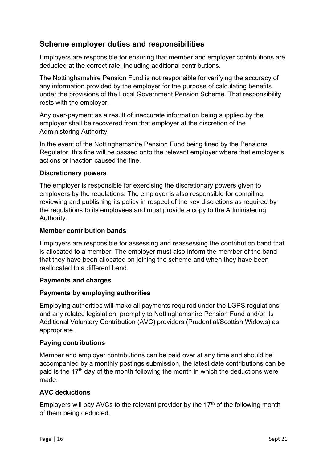#### **Scheme employer duties and responsibilities**

Employers are responsible for ensuring that member and employer contributions are deducted at the correct rate, including additional contributions.

The Nottinghamshire Pension Fund is not responsible for verifying the accuracy of any information provided by the employer for the purpose of calculating benefits under the provisions of the Local Government Pension Scheme. That responsibility rests with the employer.

Any over-payment as a result of inaccurate information being supplied by the employer shall be recovered from that employer at the discretion of the Administering Authority.

In the event of the Nottinghamshire Pension Fund being fined by the Pensions Regulator, this fine will be passed onto the relevant employer where that employer's actions or inaction caused the fine.

#### **Discretionary powers**

The employer is responsible for exercising the discretionary powers given to employers by the regulations. The employer is also responsible for compiling, reviewing and publishing its policy in respect of the key discretions as required by the regulations to its employees and must provide a copy to the Administering Authority.

#### **Member contribution bands**

Employers are responsible for assessing and reassessing the contribution band that is allocated to a member. The employer must also inform the member of the band that they have been allocated on joining the scheme and when they have been reallocated to a different band.

#### **Payments and charges**

#### **Payments by employing authorities**

Employing authorities will make all payments required under the LGPS regulations, and any related legislation, promptly to Nottinghamshire Pension Fund and/or its Additional Voluntary Contribution (AVC) providers (Prudential/Scottish Widows) as appropriate.

#### **Paying contributions**

Member and employer contributions can be paid over at any time and should be accompanied by a monthly postings submission, the latest date contributions can be paid is the 17<sup>th</sup> day of the month following the month in which the deductions were made.

#### **AVC deductions**

Employers will pay AVCs to the relevant provider by the 17<sup>th</sup> of the following month of them being deducted.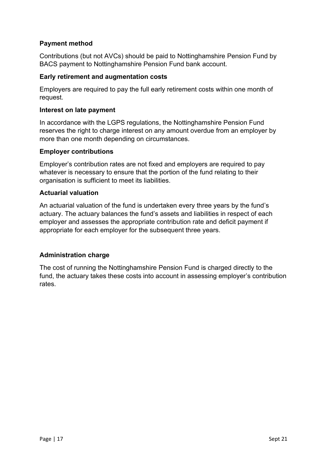#### **Payment method**

Contributions (but not AVCs) should be paid to Nottinghamshire Pension Fund by BACS payment to Nottinghamshire Pension Fund bank account.

#### **Early retirement and augmentation costs**

Employers are required to pay the full early retirement costs within one month of request.

#### **Interest on late payment**

In accordance with the LGPS regulations, the Nottinghamshire Pension Fund reserves the right to charge interest on any amount overdue from an employer by more than one month depending on circumstances.

#### **Employer contributions**

Employer's contribution rates are not fixed and employers are required to pay whatever is necessary to ensure that the portion of the fund relating to their organisation is sufficient to meet its liabilities.

#### **Actuarial valuation**

An actuarial valuation of the fund is undertaken every three years by the fund's actuary. The actuary balances the fund's assets and liabilities in respect of each employer and assesses the appropriate contribution rate and deficit payment if appropriate for each employer for the subsequent three years.

#### **Administration charge**

The cost of running the Nottinghamshire Pension Fund is charged directly to the fund, the actuary takes these costs into account in assessing employer's contribution rates.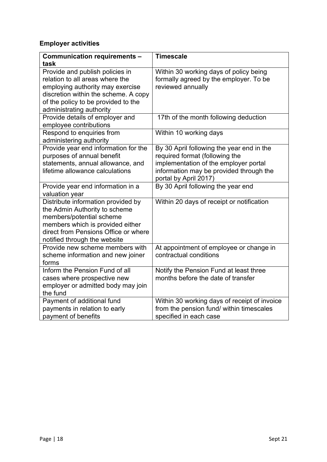### **Employer activities**

| Communication requirements -<br>task                                                                                                                                                                        | <b>Timescale</b>                                                                                                                                                                         |
|-------------------------------------------------------------------------------------------------------------------------------------------------------------------------------------------------------------|------------------------------------------------------------------------------------------------------------------------------------------------------------------------------------------|
| Provide and publish policies in<br>relation to all areas where the<br>employing authority may exercise<br>discretion within the scheme. A copy<br>of the policy to be provided to the                       | Within 30 working days of policy being<br>formally agreed by the employer. To be<br>reviewed annually                                                                                    |
| administrating authority                                                                                                                                                                                    |                                                                                                                                                                                          |
| Provide details of employer and<br>employee contributions                                                                                                                                                   | 17th of the month following deduction                                                                                                                                                    |
| Respond to enquiries from<br>administering authority                                                                                                                                                        | Within 10 working days                                                                                                                                                                   |
| Provide year end information for the<br>purposes of annual benefit<br>statements, annual allowance, and<br>lifetime allowance calculations                                                                  | By 30 April following the year end in the<br>required format (following the<br>implementation of the employer portal<br>information may be provided through the<br>portal by April 2017) |
| Provide year end information in a<br>valuation year                                                                                                                                                         | By 30 April following the year end                                                                                                                                                       |
| Distribute information provided by<br>the Admin Authority to scheme<br>members/potential scheme<br>members which is provided either<br>direct from Pensions Office or where<br>notified through the website | Within 20 days of receipt or notification                                                                                                                                                |
| Provide new scheme members with<br>scheme information and new joiner<br>forms                                                                                                                               | At appointment of employee or change in<br>contractual conditions                                                                                                                        |
| Inform the Pension Fund of all<br>cases where prospective new<br>employer or admitted body may join<br>the fund                                                                                             | Notify the Pension Fund at least three<br>months before the date of transfer                                                                                                             |
| Payment of additional fund<br>payments in relation to early<br>payment of benefits                                                                                                                          | Within 30 working days of receipt of invoice<br>from the pension fund/ within timescales<br>specified in each case                                                                       |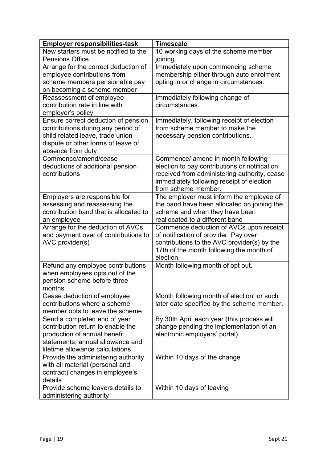| <b>Employer responsibilities-task</b>                                  | <b>Timescale</b>                                                             |
|------------------------------------------------------------------------|------------------------------------------------------------------------------|
| New starters must be notified to the                                   | 10 working days of the scheme member                                         |
| Pensions Office.                                                       | joining.                                                                     |
| Arrange for the correct deduction of                                   | Immediately upon commencing scheme                                           |
| employee contributions from                                            | membership either through auto enrolment                                     |
| scheme members pensionable pay                                         | opting in or change in circumstances.                                        |
| on becoming a scheme member                                            |                                                                              |
| Reassessment of employee                                               | Immediately following change of                                              |
| contribution rate in line with                                         | circumstances.                                                               |
| employer's policy                                                      |                                                                              |
| Ensure correct deduction of pension                                    | Immediately, following receipt of election<br>from scheme member to make the |
| contributions during any period of<br>child related leave, trade union | necessary pension contributions.                                             |
| dispute or other forms of leave of                                     |                                                                              |
| absence from duty                                                      |                                                                              |
| Commence/amend/cease                                                   | Commence/ amend in month following                                           |
| deductions of additional pension                                       | election to pay contributions or notification                                |
| contributions                                                          | received from administering authority, cease                                 |
|                                                                        | immediately following receipt of election                                    |
|                                                                        | from scheme member.                                                          |
| Employers are responsible for                                          | The employer must inform the employee of                                     |
| assessing and reassessing the                                          | the band have been allocated on joining the                                  |
| contribution band that is allocated to                                 | scheme and when they have been                                               |
| an employee                                                            | reallocated to a different band                                              |
| Arrange for the deduction of AVCs                                      | Commence deduction of AVCs upon receipt                                      |
| and payment over of contributions to                                   | of notification of provider. Pay over                                        |
| AVC provider(s)                                                        | contributions to the AVC provider(s) by the                                  |
|                                                                        | 17th of the month following the month of                                     |
|                                                                        | election.                                                                    |
| Refund any employee contributions                                      | Month following month of opt out.                                            |
| when employees opts out of the<br>pension scheme before three          |                                                                              |
| months                                                                 |                                                                              |
| Cease deduction of employee                                            | Month following month of election, or such                                   |
| contributions where a scheme                                           | later date specified by the scheme member.                                   |
| member opts to leave the scheme                                        |                                                                              |
| Send a completed end of year                                           | By 30th April each year (this process will                                   |
| contribution return to enable the                                      | change pending the implementation of an                                      |
| production of annual benefit                                           | electronic employers' portal)                                                |
| statements, annual allowance and                                       |                                                                              |
| lifetime allowance calculations                                        |                                                                              |
| Provide the administering authority                                    | Within 10 days of the change                                                 |
| with all material (personal and                                        |                                                                              |
| contract) changes in employee's                                        |                                                                              |
| details                                                                |                                                                              |
| Provide scheme leavers details to                                      | Within 10 days of leaving                                                    |
| administering authority                                                |                                                                              |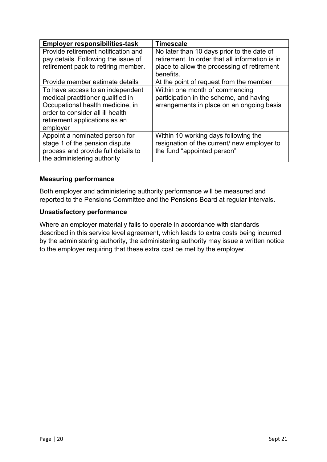| <b>Employer responsibilities-task</b> | <b>Timescale</b>                                |
|---------------------------------------|-------------------------------------------------|
| Provide retirement notification and   | No later than 10 days prior to the date of      |
| pay details. Following the issue of   | retirement. In order that all information is in |
| retirement pack to retiring member.   | place to allow the processing of retirement     |
|                                       | benefits.                                       |
| Provide member estimate details       | At the point of request from the member         |
| To have access to an independent      | Within one month of commencing                  |
| medical practitioner qualified in     | participation in the scheme, and having         |
| Occupational health medicine, in      | arrangements in place on an ongoing basis       |
| order to consider all ill health      |                                                 |
| retirement applications as an         |                                                 |
| employer                              |                                                 |
| Appoint a nominated person for        | Within 10 working days following the            |
| stage 1 of the pension dispute        | resignation of the current/ new employer to     |
| process and provide full details to   | the fund "appointed person"                     |
| the administering authority           |                                                 |

#### **Measuring performance**

Both employer and administering authority performance will be measured and reported to the Pensions Committee and the Pensions Board at regular intervals.

#### **Unsatisfactory performance**

Where an employer materially fails to operate in accordance with standards described in this service level agreement, which leads to extra costs being incurred by the administering authority, the administering authority may issue a written notice to the employer requiring that these extra cost be met by the employer.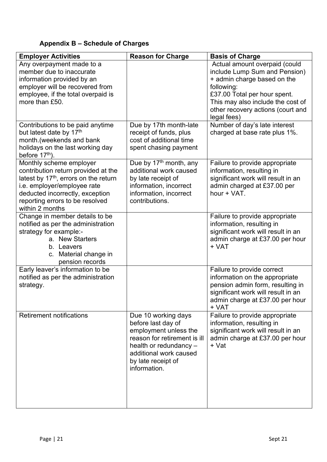## **Appendix B – Schedule of Charges**

| <b>Employer Activities</b>                                                                                                                                                                                                                  | <b>Reason for Charge</b>                                                                                                                                                                     | <b>Basis of Charge</b>                                                                                                                                                                                                               |
|---------------------------------------------------------------------------------------------------------------------------------------------------------------------------------------------------------------------------------------------|----------------------------------------------------------------------------------------------------------------------------------------------------------------------------------------------|--------------------------------------------------------------------------------------------------------------------------------------------------------------------------------------------------------------------------------------|
| Any overpayment made to a<br>member due to inaccurate<br>information provided by an<br>employer will be recovered from<br>employee, if the total overpaid is<br>more than £50.                                                              |                                                                                                                                                                                              | Actual amount overpaid (could<br>include Lump Sum and Pension)<br>+ admin charge based on the<br>following:<br>£37.00 Total per hour spent.<br>This may also include the cost of<br>other recovery actions (court and<br>legal fees) |
| Contributions to be paid anytime<br>but latest date by 17 <sup>th</sup><br>month.(weekends and bank<br>holidays on the last working day<br>before 17 <sup>th</sup> ).                                                                       | Due by 17th month-late<br>receipt of funds, plus<br>cost of additional time<br>spent chasing payment                                                                                         | Number of day's late interest<br>charged at base rate plus 1%.                                                                                                                                                                       |
| Monthly scheme employer<br>contribution return provided at the<br>latest by 17 <sup>th</sup> , errors on the return<br>i.e. employer/employee rate<br>deducted incorrectly, exception<br>reporting errors to be resolved<br>within 2 months | Due by 17 <sup>th</sup> month, any<br>additional work caused<br>by late receipt of<br>information, incorrect<br>information, incorrect<br>contributions.                                     | Failure to provide appropriate<br>information, resulting in<br>significant work will result in an<br>admin charged at £37.00 per<br>hour + VAT.                                                                                      |
| Change in member details to be<br>notified as per the administration<br>strategy for example:-<br>a. New Starters<br>b. Leavers<br>c. Material change in<br>pension records                                                                 |                                                                                                                                                                                              | Failure to provide appropriate<br>information, resulting in<br>significant work will result in an<br>admin charge at £37.00 per hour<br>+ VAT                                                                                        |
| Early leaver's information to be<br>notified as per the administration<br>strategy.                                                                                                                                                         |                                                                                                                                                                                              | Failure to provide correct<br>information on the appropriate<br>pension admin form, resulting in<br>significant work will result in an<br>admin charge at £37.00 per hour<br>+ VAT                                                   |
| <b>Retirement notifications</b>                                                                                                                                                                                                             | Due 10 working days<br>before last day of<br>employment unless the<br>reason for retirement is ill<br>health or redundancy -<br>additional work caused<br>by late receipt of<br>information. | Failure to provide appropriate<br>information, resulting in<br>significant work will result in an<br>admin charge at £37.00 per hour<br>+ Vat                                                                                        |